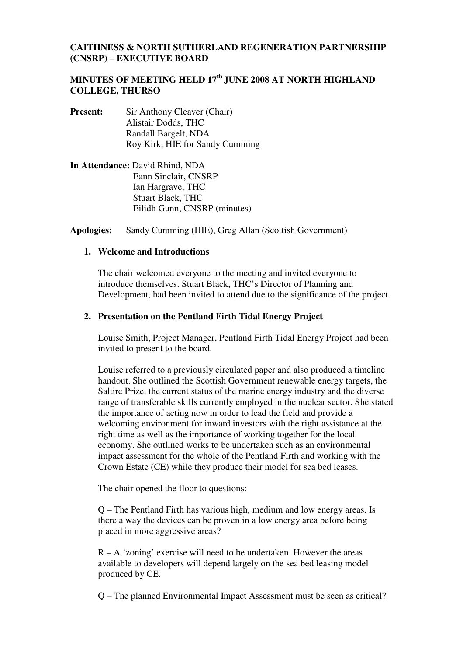### **CAITHNESS & NORTH SUTHERLAND REGENERATION PARTNERSHIP (CNSRP) – EXECUTIVE BOARD**

## **MINUTES OF MEETING HELD 17th JUNE 2008 AT NORTH HIGHLAND COLLEGE, THURSO**

- **Present:** Sir Anthony Cleaver (Chair) Alistair Dodds, THC Randall Bargelt, NDA Roy Kirk, HIE for Sandy Cumming
- **In Attendance:** David Rhind, NDA Eann Sinclair, CNSRP Ian Hargrave, THC Stuart Black, THC Eilidh Gunn, CNSRP (minutes)

**Apologies:** Sandy Cumming (HIE), Greg Allan (Scottish Government)

#### **1. Welcome and Introductions**

The chair welcomed everyone to the meeting and invited everyone to introduce themselves. Stuart Black, THC's Director of Planning and Development, had been invited to attend due to the significance of the project.

#### **2. Presentation on the Pentland Firth Tidal Energy Project**

Louise Smith, Project Manager, Pentland Firth Tidal Energy Project had been invited to present to the board.

Louise referred to a previously circulated paper and also produced a timeline handout. She outlined the Scottish Government renewable energy targets, the Saltire Prize, the current status of the marine energy industry and the diverse range of transferable skills currently employed in the nuclear sector. She stated the importance of acting now in order to lead the field and provide a welcoming environment for inward investors with the right assistance at the right time as well as the importance of working together for the local economy. She outlined works to be undertaken such as an environmental impact assessment for the whole of the Pentland Firth and working with the Crown Estate (CE) while they produce their model for sea bed leases.

The chair opened the floor to questions:

Q – The Pentland Firth has various high, medium and low energy areas. Is there a way the devices can be proven in a low energy area before being placed in more aggressive areas?

 $R - A$  'zoning' exercise will need to be undertaken. However the areas available to developers will depend largely on the sea bed leasing model produced by CE.

Q – The planned Environmental Impact Assessment must be seen as critical?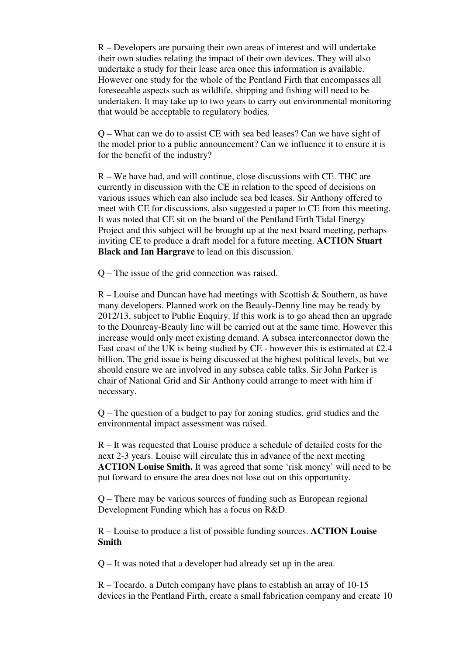R – Developers are pursuing their own areas of interest and will undertake their own studies relating the impact of their own devices. They will also undertake a study for their lease area once this information is available. However one study for the whole of the Pentland Firth that encompasses all foreseeable aspects such as wildlife, shipping and fishing will need to be undertaken. It may take up to two years to carry out environmental monitoring that would be acceptable to regulatory bodies.

Q – What can we do to assist CE with sea bed leases? Can we have sight of the model prior to a public announcement? Can we influence it to ensure it is for the benefit of the industry?

R – We have had, and will continue, close discussions with CE. THC are currently in discussion with the CE in relation to the speed of decisions on various issues which can also include sea bed leases. Sir Anthony offered to meet with CE for discussions, also suggested a paper to CE from this meeting. It was noted that CE sit on the board of the Pentland Firth Tidal Energy Project and this subject will be brought up at the next board meeting, perhaps inviting CE to produce a draft model for a future meeting. **ACTION Stuart Black and Ian Hargrave** to lead on this discussion.

Q – The issue of the grid connection was raised.

 $R$  – Louise and Duncan have had meetings with Scottish & Southern, as have many developers. Planned work on the Beauly-Denny line may be ready by 2012/13, subject to Public Enquiry. If this work is to go ahead then an upgrade to the Dounreay-Beauly line will be carried out at the same time. However this increase would only meet existing demand. A subsea interconnector down the East coast of the UK is being studied by CE - however this is estimated at £2.4 billion. The grid issue is being discussed at the highest political levels, but we should ensure we are involved in any subsea cable talks. Sir John Parker is chair of National Grid and Sir Anthony could arrange to meet with him if necessary.

Q – The question of a budget to pay for zoning studies, grid studies and the environmental impact assessment was raised.

R – It was requested that Louise produce a schedule of detailed costs for the next 2-3 years. Louise will circulate this in advance of the next meeting **ACTION Louise Smith.** It was agreed that some 'risk money' will need to be put forward to ensure the area does not lose out on this opportunity.

Q – There may be various sources of funding such as European regional Development Funding which has a focus on R&D.

R – Louise to produce a list of possible funding sources. **ACTION Louise Smith**

Q – It was noted that a developer had already set up in the area.

R – Tocardo, a Dutch company have plans to establish an array of 10-15 devices in the Pentland Firth, create a small fabrication company and create 10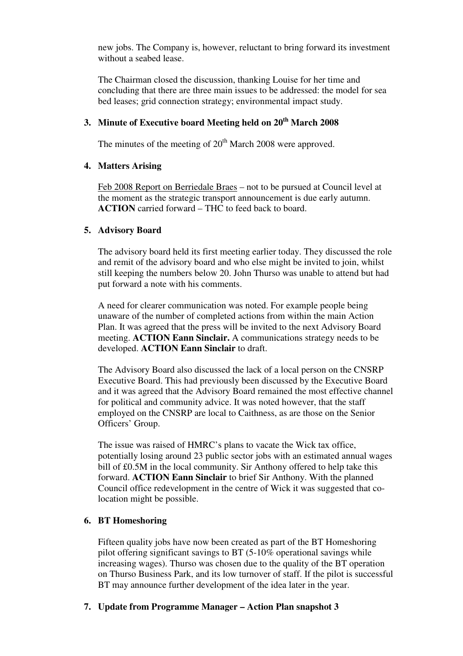new jobs. The Company is, however, reluctant to bring forward its investment without a seabed lease.

The Chairman closed the discussion, thanking Louise for her time and concluding that there are three main issues to be addressed: the model for sea bed leases; grid connection strategy; environmental impact study.

## **3. Minute of Executive board Meeting held on 20th March 2008**

The minutes of the meeting of  $20<sup>th</sup>$  March 2008 were approved.

#### **4. Matters Arising**

Feb 2008 Report on Berriedale Braes – not to be pursued at Council level at the moment as the strategic transport announcement is due early autumn. **ACTION** carried forward – THC to feed back to board.

### **5. Advisory Board**

The advisory board held its first meeting earlier today. They discussed the role and remit of the advisory board and who else might be invited to join, whilst still keeping the numbers below 20. John Thurso was unable to attend but had put forward a note with his comments.

A need for clearer communication was noted. For example people being unaware of the number of completed actions from within the main Action Plan. It was agreed that the press will be invited to the next Advisory Board meeting. **ACTION Eann Sinclair.** A communications strategy needs to be developed. **ACTION Eann Sinclair** to draft.

The Advisory Board also discussed the lack of a local person on the CNSRP Executive Board. This had previously been discussed by the Executive Board and it was agreed that the Advisory Board remained the most effective channel for political and community advice. It was noted however, that the staff employed on the CNSRP are local to Caithness, as are those on the Senior Officers' Group.

The issue was raised of HMRC's plans to vacate the Wick tax office, potentially losing around 23 public sector jobs with an estimated annual wages bill of £0.5M in the local community. Sir Anthony offered to help take this forward. **ACTION Eann Sinclair** to brief Sir Anthony. With the planned Council office redevelopment in the centre of Wick it was suggested that colocation might be possible.

## **6. BT Homeshoring**

Fifteen quality jobs have now been created as part of the BT Homeshoring pilot offering significant savings to BT  $(5-10\%$  operational savings while increasing wages). Thurso was chosen due to the quality of the BT operation on Thurso Business Park, and its low turnover of staff. If the pilot is successful BT may announce further development of the idea later in the year.

## **7. Update from Programme Manager – Action Plan snapshot 3**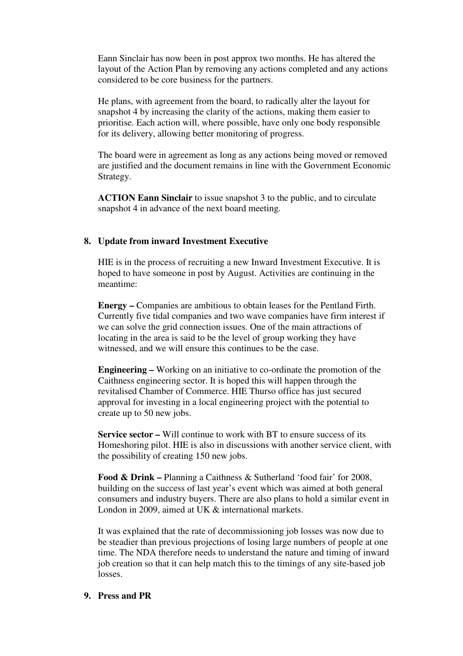Eann Sinclair has now been in post approx two months. He has altered the layout of the Action Plan by removing any actions completed and any actions considered to be core business for the partners.

He plans, with agreement from the board, to radically alter the layout for snapshot 4 by increasing the clarity of the actions, making them easier to prioritise. Each action will, where possible, have only one body responsible for its delivery, allowing better monitoring of progress.

The board were in agreement as long as any actions being moved or removed are justified and the document remains in line with the Government Economic Strategy.

**ACTION Eann Sinclair** to issue snapshot 3 to the public, and to circulate snapshot 4 in advance of the next board meeting.

### **8. Update from inward Investment Executive**

HIE is in the process of recruiting a new Inward Investment Executive. It is hoped to have someone in post by August. Activities are continuing in the meantime:

**Energy –** Companies are ambitious to obtain leases for the Pentland Firth. Currently five tidal companies and two wave companies have firm interest if we can solve the grid connection issues. One of the main attractions of locating in the area is said to be the level of group working they have witnessed, and we will ensure this continues to be the case.

**Engineering –** Working on an initiative to co-ordinate the promotion of the Caithness engineering sector. It is hoped this will happen through the revitalised Chamber of Commerce. HIE Thurso office has just secured approval for investing in a local engineering project with the potential to create up to 50 new jobs.

**Service sector –** Will continue to work with BT to ensure success of its Homeshoring pilot. HIE is also in discussions with another service client, with the possibility of creating 150 new jobs.

**Food & Drink –** Planning a Caithness & Sutherland 'food fair' for 2008, building on the success of last year's event which was aimed at both general consumers and industry buyers. There are also plans to hold a similar event in London in 2009, aimed at UK & international markets.

It was explained that the rate of decommissioning job losses was now due to be steadier than previous projections of losing large numbers of people at one time. The NDA therefore needs to understand the nature and timing of inward job creation so that it can help match this to the timings of any site-based job losses.

#### **9. Press and PR**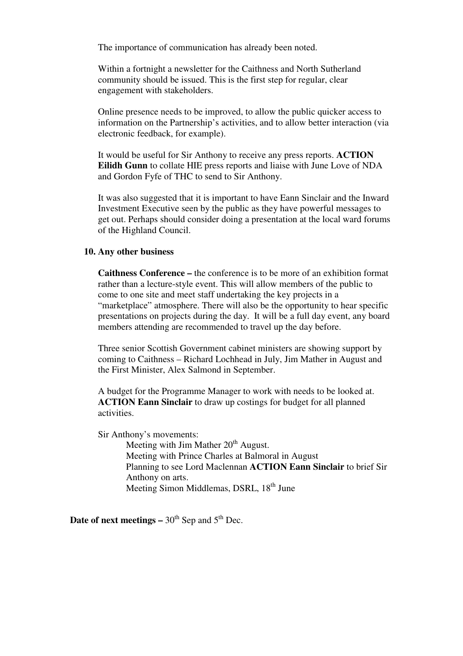The importance of communication has already been noted.

Within a fortnight a newsletter for the Caithness and North Sutherland community should be issued. This is the first step for regular, clear engagement with stakeholders.

Online presence needs to be improved, to allow the public quicker access to information on the Partnership's activities, and to allow better interaction (via electronic feedback, for example).

It would be useful for Sir Anthony to receive any press reports. **ACTION Eilidh Gunn** to collate HIE press reports and liaise with June Love of NDA and Gordon Fyfe of THC to send to Sir Anthony.

It was also suggested that it is important to have Eann Sinclair and the Inward Investment Executive seen by the public as they have powerful messages to get out. Perhaps should consider doing a presentation at the local ward forums of the Highland Council.

#### **10. Any other business**

**Caithness Conference –** the conference is to be more of an exhibition format rather than a lecture-style event. This will allow members of the public to come to one site and meet staff undertaking the key projects in a "marketplace" atmosphere. There will also be the opportunity to hear specific presentations on projects during the day. It will be a full day event, any board members attending are recommended to travel up the day before.

Three senior Scottish Government cabinet ministers are showing support by coming to Caithness – Richard Lochhead in July, Jim Mather in August and the First Minister, Alex Salmond in September.

A budget for the Programme Manager to work with needs to be looked at. **ACTION Eann Sinclair** to draw up costings for budget for all planned activities.

Sir Anthony's movements:

Meeting with Jim Mather  $20<sup>th</sup>$  August. Meeting with Prince Charles at Balmoral in August Planning to see Lord Maclennan **ACTION Eann Sinclair** to brief Sir Anthony on arts. Meeting Simon Middlemas, DSRL, 18<sup>th</sup> June

**Date of next meetings –**  $30<sup>th</sup>$  Sep and  $5<sup>th</sup>$  Dec.